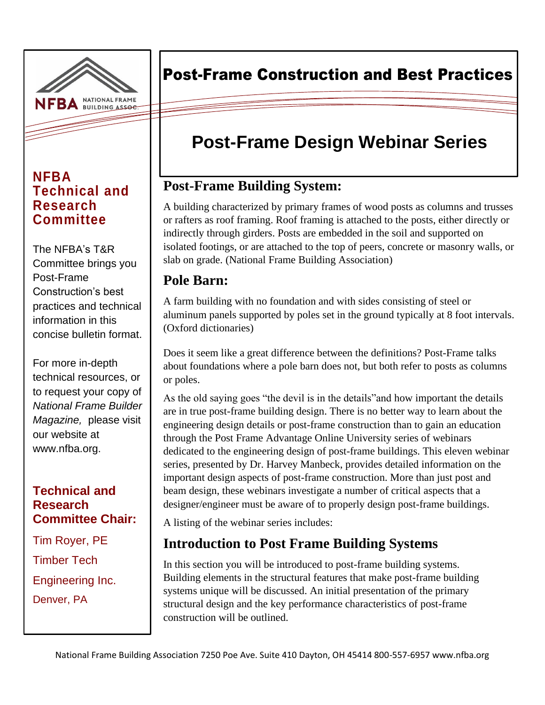

#### **NFBA Technical and Research Committee**

The NFBA's T&R Committee brings you Post-Frame Construction's best practices and technical information in this concise bulletin format.

For more in-depth technical resources, or to request your copy of *National Frame Builder Magazine,* please visit our website at www.nfba.org.

#### **Technical and Research Committee Chair:**

Tim Royer, PE Timber Tech Engineering Inc. Denver, PA

# Post-Frame Construction and Best Practices

# **Post-Frame Design Webinar Series**

# **Post-Frame Building System:**

A building characterized by primary frames of wood posts as columns and trusses or rafters as roof framing. Roof framing is attached to the posts, either directly or indirectly through girders. Posts are embedded in the soil and supported on isolated footings, or are attached to the top of peers, concrete or masonry walls, or slab on grade. (National Frame Building Association)

#### **Pole Barn:**

A farm building with no foundation and with sides consisting of steel or aluminum panels supported by poles set in the ground typically at 8 foot intervals. (Oxford dictionaries)

Does it seem like a great difference between the definitions? Post-Frame talks about foundations where a pole barn does not, but both refer to posts as columns or poles.

As the old saying goes "the devil is in the details"and how important the details are in true post-frame building design. There is no better way to learn about the engineering design details or post-frame construction than to gain an education through the Post Frame Advantage Online University series of webinars dedicated to the engineering design of post-frame buildings. This eleven webinar series, presented by Dr. Harvey Manbeck, provides detailed information on the important design aspects of post-frame construction. More than just post and beam design, these webinars investigate a number of critical aspects that a designer/engineer must be aware of to properly design post-frame buildings.

A listing of the webinar series includes:

### **Introduction to Post Frame Building Systems**

In this section you will be introduced to post-frame building systems. Building elements in the structural features that make post-frame building systems unique will be discussed. An initial presentation of the primary structural design and the key performance characteristics of post-frame construction will be outlined.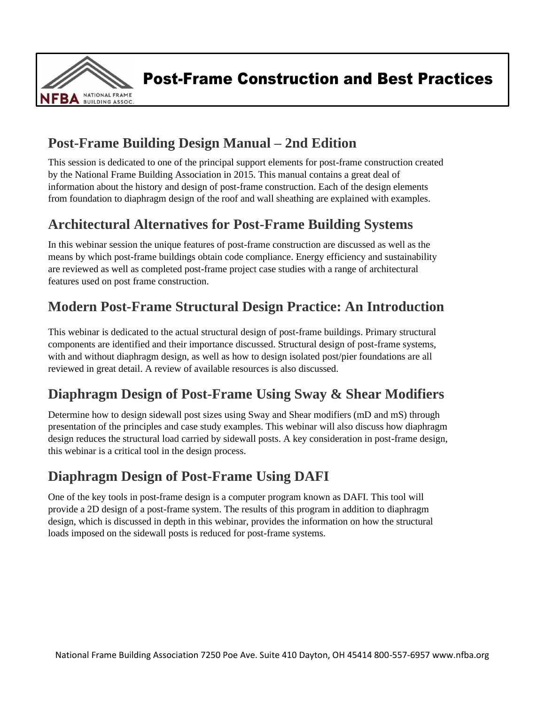

Post-Frame Construction and Best Practices

 $\mathcal{L}$  and  $\mathcal{L}$  and  $\mathcal{L}$  and  $\mathcal{L}$  and  $\mathcal{L}$  and  $\mathcal{L}$  and  $\mathcal{L}$  and  $\mathcal{L}$  and  $\mathcal{L}$  and  $\mathcal{L}$ 

### **Post-Frame Building Design Manual – 2nd Edition**

This session is dedicated to one of the principal support elements for post-frame construction created by the National Frame Building Association in 2015. This manual contains a great deal of information about the history and design of post-frame construction. Each of the design elements from foundation to diaphragm design of the roof and wall sheathing are explained with examples.

## **Architectural Alternatives for Post-Frame Building Systems**

In this webinar session the unique features of post-frame construction are discussed as well as the means by which post-frame buildings obtain code compliance. Energy efficiency and sustainability are reviewed as well as completed post-frame project case studies with a range of architectural features used on post frame construction.

# **Modern Post-Frame Structural Design Practice: An Introduction**

This webinar is dedicated to the actual structural design of post-frame buildings. Primary structural components are identified and their importance discussed. Structural design of post-frame systems, with and without diaphragm design, as well as how to design isolated post/pier foundations are all reviewed in great detail. A review of available resources is also discussed.

### **Diaphragm Design of Post-Frame Using Sway & Shear Modifiers**

Determine how to design sidewall post sizes using Sway and Shear modifiers (mD and mS) through presentation of the principles and case study examples. This webinar will also discuss how diaphragm design reduces the structural load carried by sidewall posts. A key consideration in post-frame design, this webinar is a critical tool in the design process.

### **Diaphragm Design of Post-Frame Using DAFI**

One of the key tools in post-frame design is a computer program known as DAFI. This tool will provide a 2D design of a post-frame system. The results of this program in addition to diaphragm design, which is discussed in depth in this webinar, provides the information on how the structural loads imposed on the sidewall posts is reduced for post-frame systems.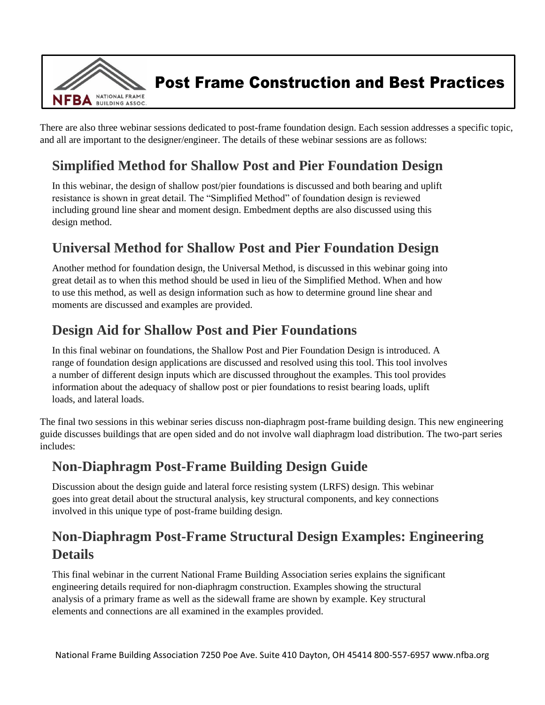

Post Frame Construction and Best Practices

 $\mathcal{L}$  and  $\mathcal{L}$  and  $\mathcal{L}$  and  $\mathcal{L}$  and  $\mathcal{L}$  and  $\mathcal{L}$  and  $\mathcal{L}$  and  $\mathcal{L}$  and  $\mathcal{L}$  and  $\mathcal{L}$  and  $\mathcal{L}$  and  $\mathcal{L}$ 

There are also three webinar sessions dedicated to post-frame foundation design. Each session addresses a specific topic, and all are important to the designer/engineer. The details of these webinar sessions are as follows:

### **Simplified Method for Shallow Post and Pier Foundation Design**

In this webinar, the design of shallow post/pier foundations is discussed and both bearing and uplift resistance is shown in great detail. The "Simplified Method" of foundation design is reviewed including ground line shear and moment design. Embedment depths are also discussed using this design method.

#### **Universal Method for Shallow Post and Pier Foundation Design**

Another method for foundation design, the Universal Method, is discussed in this webinar going into great detail as to when this method should be used in lieu of the Simplified Method. When and how to use this method, as well as design information such as how to determine ground line shear and moments are discussed and examples are provided.

#### **Design Aid for Shallow Post and Pier Foundations**

In this final webinar on foundations, the Shallow Post and Pier Foundation Design is introduced. A range of foundation design applications are discussed and resolved using this tool. This tool involves a number of different design inputs which are discussed throughout the examples. This tool provides information about the adequacy of shallow post or pier foundations to resist bearing loads, uplift loads, and lateral loads.

The final two sessions in this webinar series discuss non-diaphragm post-frame building design. This new engineering guide discusses buildings that are open sided and do not involve wall diaphragm load distribution. The two-part series includes:

#### **Non-Diaphragm Post-Frame Building Design Guide**

Discussion about the design guide and lateral force resisting system (LRFS) design. This webinar goes into great detail about the structural analysis, key structural components, and key connections involved in this unique type of post-frame building design.

### **Non-Diaphragm Post-Frame Structural Design Examples: Engineering Details**

This final webinar in the current National Frame Building Association series explains the significant engineering details required for non-diaphragm construction. Examples showing the structural analysis of a primary frame as well as the sidewall frame are shown by example. Key structural elements and connections are all examined in the examples provided.